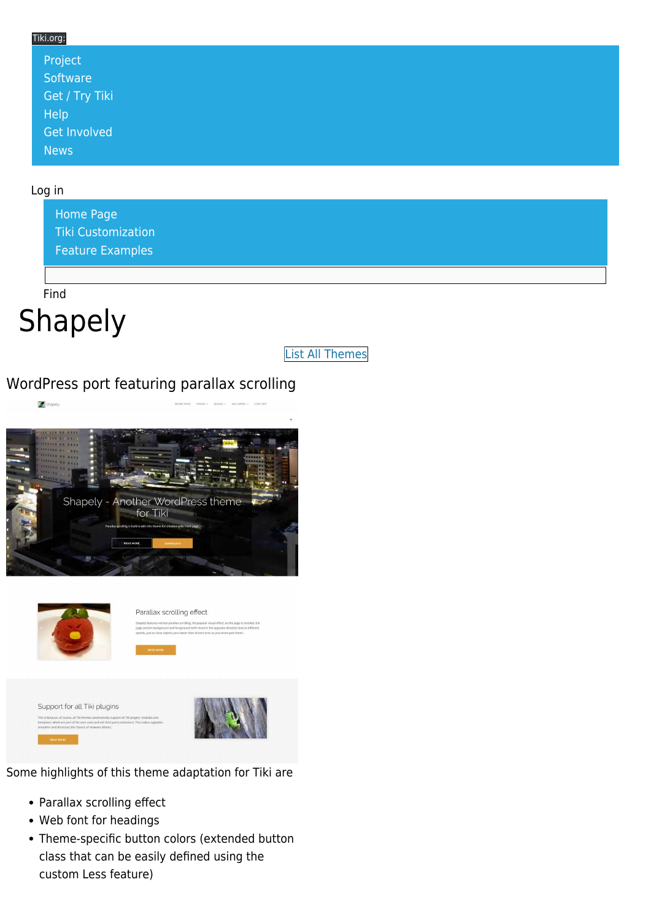### Tiki.org: [Project](https://tiki.org/Project Introduction) **[Software](https://tiki.org/Software Overview and Model)** [Get / Try Tiki](https://tiki.org/Get Tiki - Try Tiki) **[Help](https://tiki.org/Get Help)** [Get Involved](https://tiki.org/Get Involved) [News](https://tiki.org/News)

#### Log in

[Home Page](https://themes.tiki.org/Themes) [Tiki Customization](https://themes.tiki.org/Tiki-Customization) [Feature Examples](#page--1-0)

Find

# Shapely

[List All Themes](https://themes.tiki.org/marketplace%20themes)

## WordPress port featuring parallax scrolling





Parallax scrolling effect

Support for all Tiki plugins is because, of course, all Tiki themes automatically support all Tiki<br>klates, which are part of the core code and not third-party extensio



Some highlights of this theme adaptation for Tiki are

- Parallax scrolling effect
- Web font for headings
- Theme-specific button colors (extended button class that can be easily defined using the custom Less feature)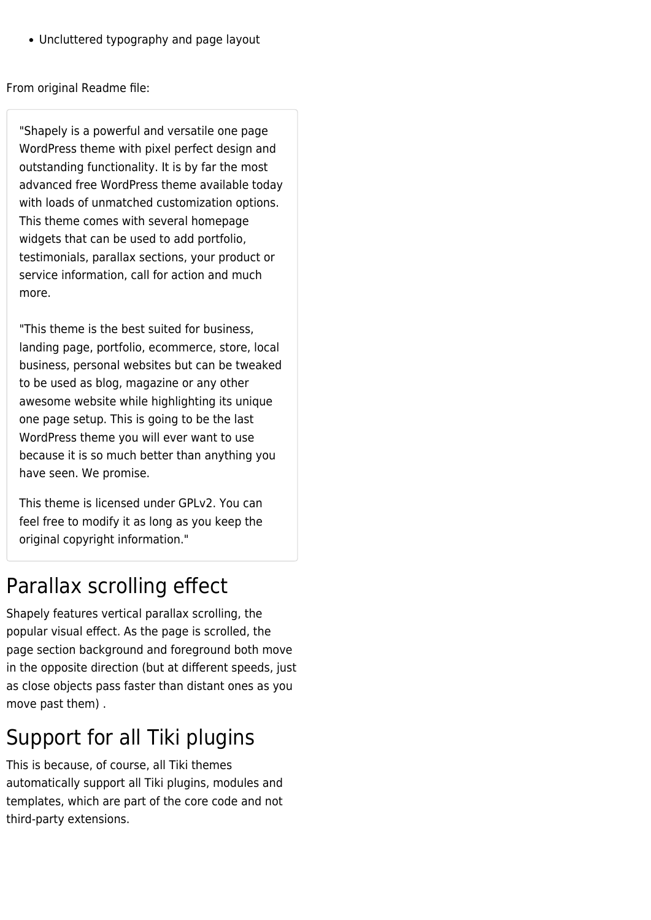Uncluttered typography and page layout

From original Readme file:

"Shapely is a powerful and versatile one page WordPress theme with pixel perfect design and outstanding functionality. It is by far the most advanced free WordPress theme available today with loads of unmatched customization options. This theme comes with several homepage widgets that can be used to add portfolio, testimonials, parallax sections, your product or service information, call for action and much more.

"This theme is the best suited for business, landing page, portfolio, ecommerce, store, local business, personal websites but can be tweaked to be used as blog, magazine or any other awesome website while highlighting its unique one page setup. This is going to be the last WordPress theme you will ever want to use because it is so much better than anything you have seen. We promise.

This theme is licensed under GPLv2. You can feel free to modify it as long as you keep the original copyright information."

## Parallax scrolling effect

Shapely features vertical parallax scrolling, the popular visual effect. As the page is scrolled, the page section background and foreground both move in the opposite direction (but at different speeds, just as close objects pass faster than distant ones as you move past them) .

## Support for all Tiki plugins

This is because, of course, all Tiki themes automatically support all Tiki plugins, modules and templates, which are part of the core code and not third-party extensions.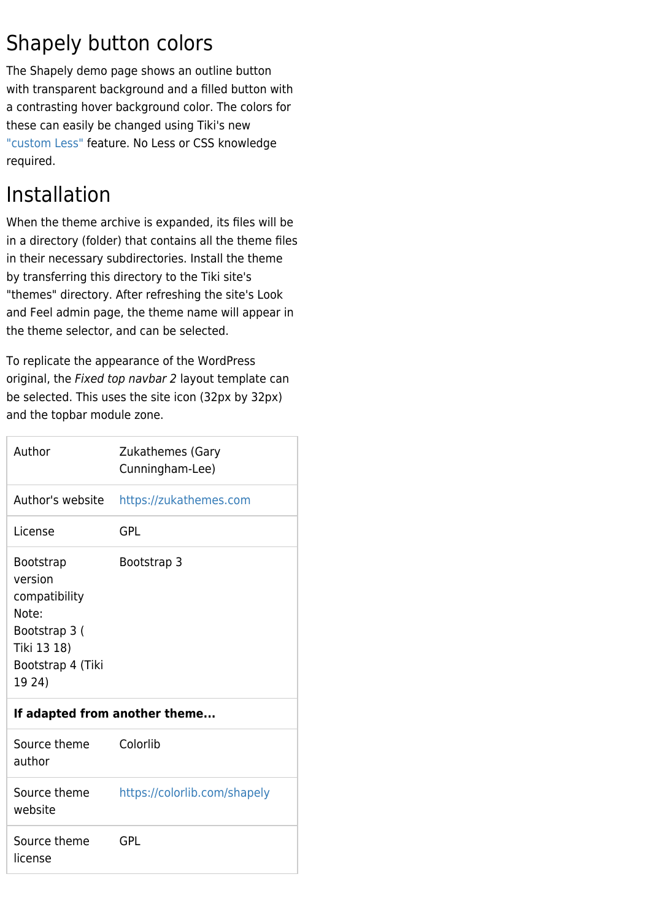# Shapely button colors

The Shapely demo page shows an outline button with transparent background and a filled button with a contrasting hover background color. The colors for these can easily be changed using Tiki's new ["custom Less"](https://themes.tiki.org/Custom+Less) feature. No Less or CSS knowledge required.

# Installation

When the theme archive is expanded, its files will be in a directory (folder) that contains all the theme files in their necessary subdirectories. Install the theme by transferring this directory to the Tiki site's "themes" directory. After refreshing the site's Look and Feel admin page, the theme name will appear in the theme selector, and can be selected.

To replicate the appearance of the WordPress original, the Fixed top navbar 2 layout template can be selected. This uses the site icon (32px by 32px) and the topbar module zone.

| Author                                                                                                               | <b>Zukathemes (Gary</b><br>Cunningham-Lee) |
|----------------------------------------------------------------------------------------------------------------------|--------------------------------------------|
| Author's website                                                                                                     | https://zukathemes.com                     |
| License                                                                                                              | <b>GPL</b>                                 |
| <b>Bootstrap</b><br>version<br>compatibility<br>Note:<br>Bootstrap 3 (<br>Tiki 13 18)<br>Bootstrap 4 (Tiki<br>19 24) | Bootstrap 3                                |
| If adapted from another theme                                                                                        |                                            |
| Source theme<br>author                                                                                               | Colorlib                                   |
| Source theme<br>website                                                                                              | https://colorlib.com/shapely               |
| Source theme<br>license                                                                                              | <b>GPL</b>                                 |
|                                                                                                                      |                                            |